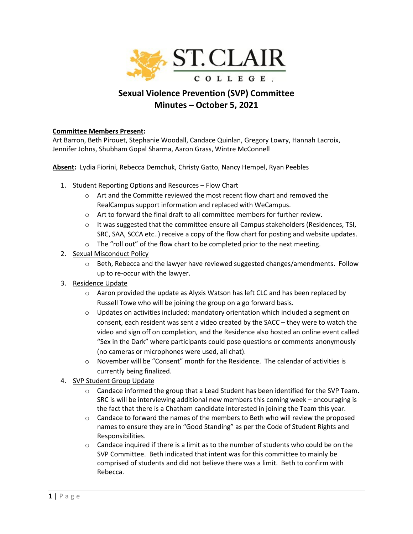

## **Sexual Violence Prevention (SVP) Committee Minutes – October 5, 2021**

## **Committee Members Present:**

Art Barron, Beth Pirouet, Stephanie Woodall, Candace Quinlan, Gregory Lowry, Hannah Lacroix, Jennifer Johns, Shubham Gopal Sharma, Aaron Grass, Wintre McConnell

**Absent:** Lydia Fiorini, Rebecca Demchuk, Christy Gatto, Nancy Hempel, Ryan Peebles

- 1. Student Reporting Options and Resources Flow Chart
	- $\circ$  Art and the Committe reviewed the most recent flow chart and removed the RealCampus support information and replaced with WeCampus.
	- o Art to forward the final draft to all committee members for further review.
	- $\circ$  It was suggested that the committee ensure all Campus stakeholders (Residences, TSI, SRC, SAA, SCCA etc..) receive a copy of the flow chart for posting and website updates.
	- o The "roll out" of the flow chart to be completed prior to the next meeting.
- 2. Sexual Misconduct Policy
	- $\circ$  Beth, Rebecca and the lawyer have reviewed suggested changes/amendments. Follow up to re-occur with the lawyer.
- 3. Residence Update
	- $\circ$  Aaron provided the update as Alyxis Watson has left CLC and has been replaced by Russell Towe who will be joining the group on a go forward basis.
	- $\circ$  Updates on activities included: mandatory orientation which included a segment on consent, each resident was sent a video created by the SACC – they were to watch the video and sign off on completion, and the Residence also hosted an online event called "Sex in the Dark" where participants could pose questions or comments anonymously (no cameras or microphones were used, all chat).
	- $\circ$  November will be "Consent" month for the Residence. The calendar of activities is currently being finalized.
- 4. SVP Student Group Update
	- $\circ$  Candace informed the group that a Lead Student has been identified for the SVP Team. SRC is will be interviewing additional new members this coming week – encouraging is the fact that there is a Chatham candidate interested in joining the Team this year.
	- $\circ$  Candace to forward the names of the members to Beth who will review the proposed names to ensure they are in "Good Standing" as per the Code of Student Rights and Responsibilities.
	- $\circ$  Candace inquired if there is a limit as to the number of students who could be on the SVP Committee. Beth indicated that intent was for this committee to mainly be comprised of students and did not believe there was a limit. Beth to confirm with Rebecca.